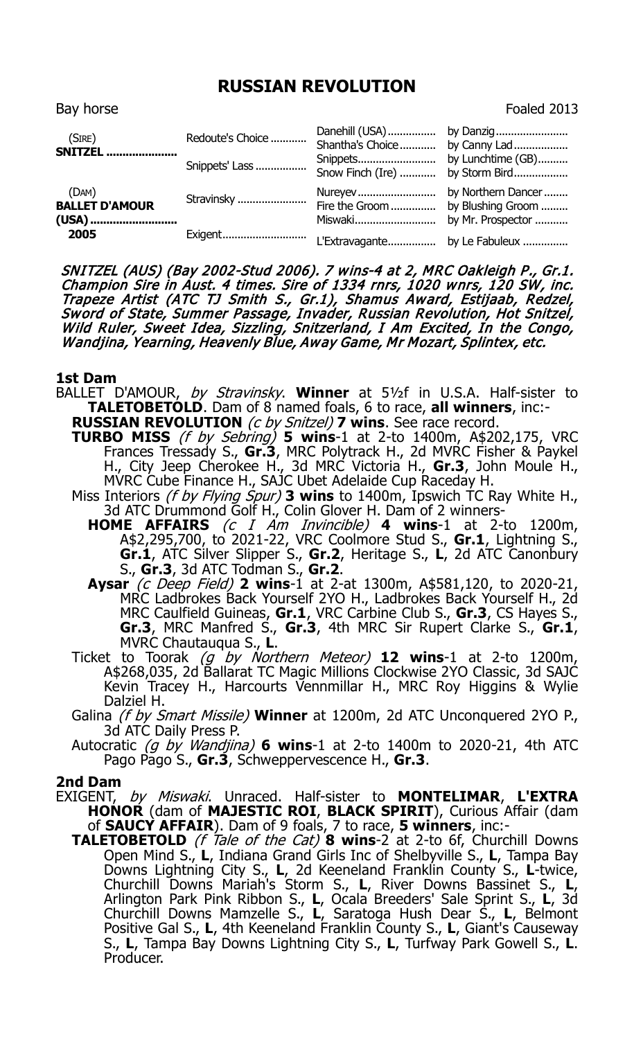## **RUSSIAN REVOLUTION**

Bay horse Foaled 2013

| (SIRE)<br><b>SNITZEL</b>                | Redoute's Choice<br>Snippets' Lass | Shantha's Choice by Canny Lad<br>Snow Finch (Ire)  by Storm Bird |                   |
|-----------------------------------------|------------------------------------|------------------------------------------------------------------|-------------------|
| (DAM)<br><b>BALLET D'AMOUR</b><br>(USA) | Stravinsky                         | Fire the Groom                                                   | by Blushing Groom |
| 2005                                    | Exigent                            | L'Extravagante by Le Fabuleux                                    |                   |

SNITZEL (AUS) (Bay 2002-Stud 2006). 7 wins-4 at 2, MRC Oakleigh P., Gr.1. Champion Sire in Aust. 4 times. Sire of 1334 rnrs, 1020 wnrs, 120 SW, inc. Trapeze Artist (ATC TJ Smith S., Gr.1), Shamus Award, Estijaab, Redzel, Sword of State, Summer Passage, Invader, Russian Revolution, Hot Snitzel, Wild Ruler, Sweet Idea, Sizzling, Snitzerland, I Am Excited, In the Congo, Wandjina, Yearning, Heavenly Blue, Away Game, Mr Mozart, Splintex, etc.

## **1st Dam**

- BALLET D'AMOUR, by Stravinsky. **Winner** at 5½f in U.S.A. Half-sister to **TALETOBETOLD**. Dam of 8 named foals, 6 to race, **all winners**, inc:-
	- **RUSSIAN REVOLUTION** (c by Snitzel) **7 wins**. See race record. **TURBO MISS** (f by Sebring) **5 wins**-1 at 2-to 1400m, A\$202,175, VRC Frances Tressady S., **Gr.3**, MRC Polytrack H., 2d MVRC Fisher & Paykel H., City Jeep Cherokee H., 3d MRC Victoria H., **Gr.3**, John Moule H., MVRC Cube Finance H., SAJC Ubet Adelaide Cup Raceday H.
	- Miss Interiors (f by Flying Spur) **3 wins** to 1400m, Ipswich TC Ray White H.,
		- 3d ATC Drummond Golf H., Colin Glover H. Dam of 2 winners-**HOME AFFAIRS** (c I Am Invincible) **4 wins**-1 at 2-to 1200m, A\$2,295,700, to 2021-22, VRC Coolmore Stud S., **Gr.1**, Lightning S., **Gr.1**, ATC Silver Slipper S., **Gr.2**, Heritage S., **L**, 2d ATC Canonbury
		- S., **Gr.3**, 3d ATC Todman S., **Gr.2**. **Aysar** (c Deep Field) **2 wins**-1 at 2-at 1300m, A\$581,120, to 2020-21, MRC Ladbrokes Back Yourself 2YO H., Ladbrokes Back Yourself H., 2d MRC Caulfield Guineas, **Gr.1**, VRC Carbine Club S., **Gr.3**, CS Hayes S., **Gr.3**, MRC Manfred S., **Gr.3**, 4th MRC Sir Rupert Clarke S., **Gr.1**, MVRC Chautauqua S., **L**.
	- Ticket to Toorak (g by Northern Meteor) **12 wins**-1 at 2-to 1200m, A\$268,035, 2d Ballarat TC Magic Millions Clockwise 2YO Classic, 3d SAJC Kevin Tracey H., Harcourts Vennmillar H., MRC Roy Higgins & Wylie Dalziel H.
	- Galina (f by Smart Missile) **Winner** at 1200m, 2d ATC Unconquered 2YO P., 3d ATC Daily Press P.
	- Autocratic (g by Wandjina) **6 wins**-1 at 2-to 1400m to 2020-21, 4th ATC Pago Pago S., **Gr.3**, Schweppervescence H., **Gr.3**.

## **2nd Dam**

- EXIGENT, by Miswaki. Unraced. Half-sister to **MONTELIMAR**, **L'EXTRA HONOR** (dam of **MAJESTIC ROI**, **BLACK SPIRIT**), Curious Affair (dam of **SAUCY AFFAIR**). Dam of 9 foals, 7 to race, **5 winners**, inc:-
	- **TALETOBETOLD** (f Tale of the Cat) **8 wins**-2 at 2-to 6f, Churchill Downs Open Mind S., **L**, Indiana Grand Girls Inc of Shelbyville S., **L**, Tampa Bay Downs Lightning City S., **L**, 2d Keeneland Franklin County S., **L**-twice, Churchill Downs Mariah's Storm S., **L**, River Downs Bassinet S., **L**, Arlington Park Pink Ribbon S., **L**, Ocala Breeders' Sale Sprint S., **L**, 3d Churchill Downs Mamzelle S., **L**, Saratoga Hush Dear S., **L**, Belmont Positive Gal S., **L**, 4th Keeneland Franklin County S., **L**, Giant's Causeway S., **L**, Tampa Bay Downs Lightning City S., **L**, Turfway Park Gowell S., **L**. Producer.